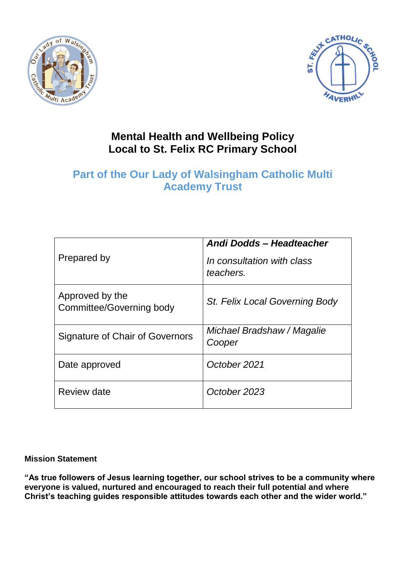



## **Mental Health and Wellbeing Policy Local to St. Felix RC Primary School**

# **Part of the Our Lady of Walsingham Catholic Multi Academy Trust**

|                                             | Andi Dodds - Headteacher                |
|---------------------------------------------|-----------------------------------------|
| Prepared by                                 | In consultation with class<br>teachers. |
| Approved by the<br>Committee/Governing body | St. Felix Local Governing Body          |
| Signature of Chair of Governors             | Michael Bradshaw / Magalie<br>Cooper    |
| Date approved                               | October 2021                            |
| Review date                                 | October 2023                            |

## **Mission Statement**

**"As true followers of Jesus learning together, our school strives to be a community where everyone is valued, nurtured and encouraged to reach their full potential and where Christ's teaching guides responsible attitudes towards each other and the wider world."**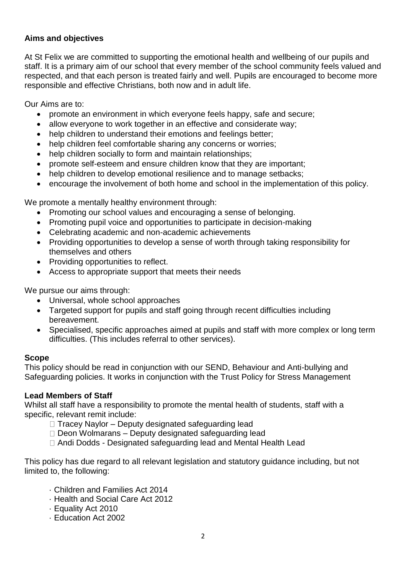## **Aims and objectives**

At St Felix we are committed to supporting the emotional health and wellbeing of our pupils and staff. It is a primary aim of our school that every member of the school community feels valued and respected, and that each person is treated fairly and well. Pupils are encouraged to become more responsible and effective Christians, both now and in adult life.

Our Aims are to:

- promote an environment in which everyone feels happy, safe and secure;
- allow everyone to work together in an effective and considerate way;
- help children to understand their emotions and feelings better:
- help children feel comfortable sharing any concerns or worries;
- help children socially to form and maintain relationships:
- promote self-esteem and ensure children know that they are important;
- help children to develop emotional resilience and to manage setbacks;
- encourage the involvement of both home and school in the implementation of this policy.

We promote a mentally healthy environment through:

- Promoting our school values and encouraging a sense of belonging.
- Promoting pupil voice and opportunities to participate in decision-making
- Celebrating academic and non-academic achievements
- Providing opportunities to develop a sense of worth through taking responsibility for themselves and others
- Providing opportunities to reflect.
- Access to appropriate support that meets their needs

We pursue our aims through:

- Universal, whole school approaches
- Targeted support for pupils and staff going through recent difficulties including bereavement.
- Specialised, specific approaches aimed at pupils and staff with more complex or long term difficulties. (This includes referral to other services).

## **Scope**

This policy should be read in conjunction with our SEND, Behaviour and Anti-bullying and Safeguarding policies. It works in conjunction with the Trust Policy for Stress Management

## **Lead Members of Staff**

Whilst all staff have a responsibility to promote the mental health of students, staff with a specific, relevant remit include:

- $\Box$  Tracey Naylor Deputy designated safeguarding lead
- $\Box$  Deon Wolmarans Deputy designated safeguarding lead
- Andi Dodds Designated safeguarding lead and Mental Health Lead

This policy has due regard to all relevant legislation and statutory guidance including, but not limited to, the following:

- · Children and Families Act 2014
- · Health and Social Care Act 2012
- · Equality Act 2010
- · Education Act 2002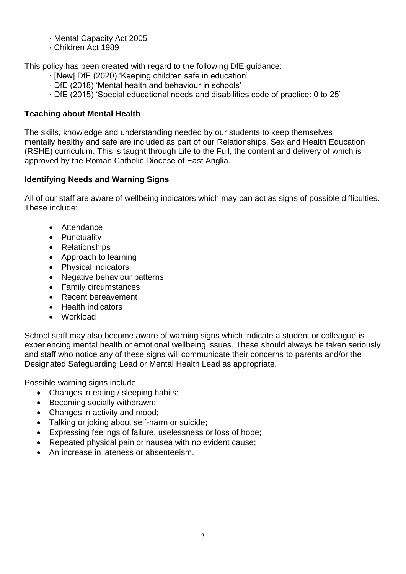- · Mental Capacity Act 2005
- · Children Act 1989

This policy has been created with regard to the following DfE guidance:

- · [New] DfE (2020) 'Keeping children safe in education'
- · DfE (2018) 'Mental health and behaviour in schools'
- · DfE (2015) 'Special educational needs and disabilities code of practice: 0 to 25'

## **Teaching about Mental Health**

The skills, knowledge and understanding needed by our students to keep themselves mentally healthy and safe are included as part of our Relationships, Sex and Health Education (RSHE) curriculum. This is taught through Life to the Full, the content and delivery of which is approved by the Roman Catholic Diocese of East Anglia.

## **Identifying Needs and Warning Signs**

All of our staff are aware of wellbeing indicators which may can act as signs of possible difficulties. These include:

- Attendance
- Punctuality
- Relationships
- Approach to learning
- Physical indicators
- Negative behaviour patterns
- Family circumstances
- Recent bereavement
- Health indicators
- Workload

School staff may also become aware of warning signs which indicate a student or colleague is experiencing mental health or emotional wellbeing issues. These should always be taken seriously and staff who notice any of these signs will communicate their concerns to parents and/or the Designated Safeguarding Lead or Mental Health Lead as appropriate.

Possible warning signs include:

- Changes in eating / sleeping habits;
- Becoming socially withdrawn;
- Changes in activity and mood;
- Talking or joking about self-harm or suicide;
- Expressing feelings of failure, uselessness or loss of hope;
- Repeated physical pain or nausea with no evident cause;
- An increase in lateness or absenteeism.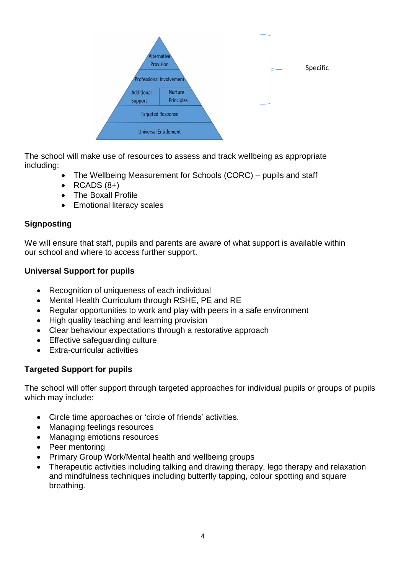

The school will make use of resources to assess and track wellbeing as appropriate including:

- The Wellbeing Measurement for Schools (CORC) pupils and staff
- $\bullet$  RCADS  $(8+)$
- The Boxall Profile
- Emotional literacy scales

## **Signposting**

We will ensure that staff, pupils and parents are aware of what support is available within our school and where to access further support.

## **Universal Support for pupils**

- Recognition of uniqueness of each individual
- Mental Health Curriculum through RSHE, PE and RE
- Regular opportunities to work and play with peers in a safe environment
- High quality teaching and learning provision
- Clear behaviour expectations through a restorative approach
- Effective safeguarding culture
- Extra-curricular activities

## **Targeted Support for pupils**

The school will offer support through targeted approaches for individual pupils or groups of pupils which may include:

- Circle time approaches or 'circle of friends' activities.
- Managing feelings resources
- Managing emotions resources
- Peer mentoring
- Primary Group Work/Mental health and wellbeing groups
- Therapeutic activities including talking and drawing therapy, lego therapy and relaxation and mindfulness techniques including butterfly tapping, colour spotting and square breathing.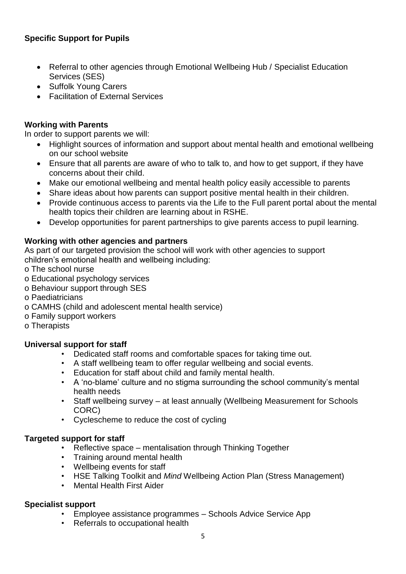## **Specific Support for Pupils**

- Referral to other agencies through Emotional Wellbeing Hub / Specialist Education Services (SES)
- Suffolk Young Carers
- Facilitation of External Services

## **Working with Parents**

In order to support parents we will:

- Highlight sources of information and support about mental health and emotional wellbeing on our school website
- Ensure that all parents are aware of who to talk to, and how to get support, if they have concerns about their child.
- Make our emotional wellbeing and mental health policy easily accessible to parents
- Share ideas about how parents can support positive mental health in their children.
- Provide continuous access to parents via the Life to the Full parent portal about the mental health topics their children are learning about in RSHE.
- Develop opportunities for parent partnerships to give parents access to pupil learning.

## **Working with other agencies and partners**

As part of our targeted provision the school will work with other agencies to support children's emotional health and wellbeing including:

- o The school nurse
- o Educational psychology services
- o Behaviour support through SES
- o Paediatricians
- o CAMHS (child and adolescent mental health service)
- o Family support workers
- o Therapists

## **Universal support for staff**

- Dedicated staff rooms and comfortable spaces for taking time out.
- A staff wellbeing team to offer regular wellbeing and social events.
- Education for staff about child and family mental health.
- A 'no-blame' culture and no stigma surrounding the school community's mental health needs
- Staff wellbeing survey at least annually (Wellbeing Measurement for Schools CORC)
- Cyclescheme to reduce the cost of cycling

## **Targeted support for staff**

- Reflective space mentalisation through Thinking Together
- Training around mental health
- Wellbeing events for staff
- HSE Talking Toolkit and *Mind* Wellbeing Action Plan (Stress Management)
- Mental Health First Aider

## **Specialist support**

- Employee assistance programmes Schools Advice Service App
- Referrals to occupational health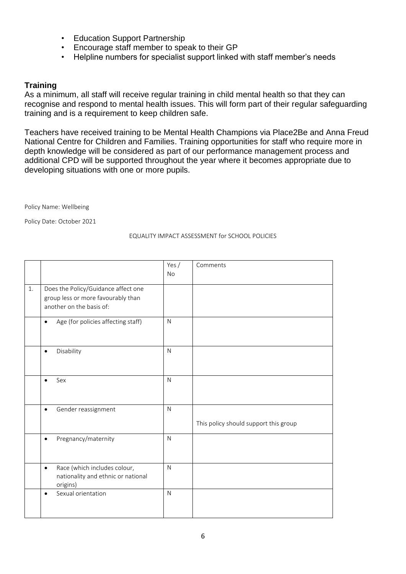- Education Support Partnership
- Encourage staff member to speak to their GP
- Helpline numbers for specialist support linked with staff member's needs

#### **Training**

As a minimum, all staff will receive regular training in child mental health so that they can recognise and respond to mental health issues. This will form part of their regular safeguarding training and is a requirement to keep children safe.

Teachers have received training to be Mental Health Champions via Place2Be and Anna Freud National Centre for Children and Families. Training opportunities for staff who require more in depth knowledge will be considered as part of our performance management process and additional CPD will be supported throughout the year where it becomes appropriate due to developing situations with one or more pupils.

Policy Name: Wellbeing

Policy Date: October 2021

#### EQUALITY IMPACT ASSESSMENT for SCHOOL POLICIES

|    |                                                                                                       | Yes $/$<br><b>No</b> | Comments                              |
|----|-------------------------------------------------------------------------------------------------------|----------------------|---------------------------------------|
| 1. | Does the Policy/Guidance affect one<br>group less or more favourably than<br>another on the basis of: |                      |                                       |
|    | Age (for policies affecting staff)<br>$\bullet$                                                       | $\mathsf{N}$         |                                       |
|    | Disability<br>$\bullet$                                                                               | N                    |                                       |
|    | Sex<br>$\bullet$                                                                                      | N                    |                                       |
|    | Gender reassignment<br>$\bullet$                                                                      | $\mathsf{N}$         | This policy should support this group |
|    | Pregnancy/maternity<br>$\bullet$                                                                      | $\mathsf{N}$         |                                       |
|    | Race (which includes colour,<br>$\bullet$<br>nationality and ethnic or national<br>origins)           | N                    |                                       |
|    | Sexual orientation<br>$\bullet$                                                                       | N                    |                                       |